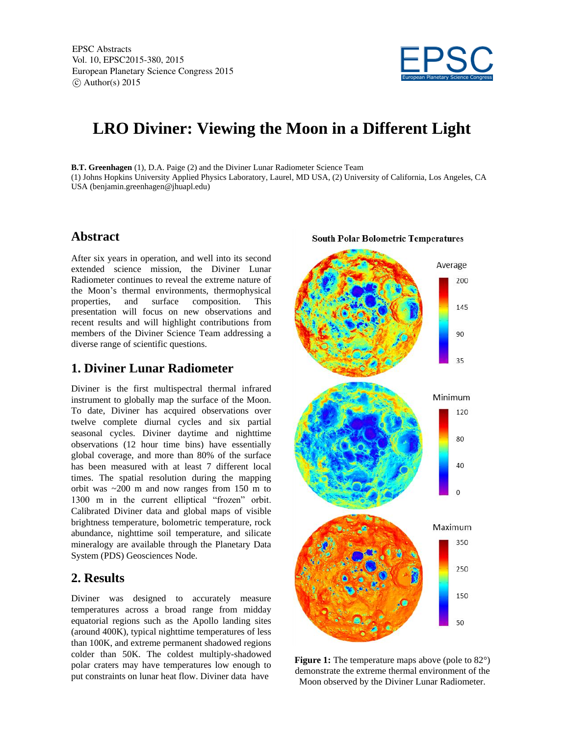

## **LRO Diviner: Viewing the Moon in a Different Light**

**B.T. Greenhagen** (1), D.A. Paige (2) and the Diviner Lunar Radiometer Science Team (1) Johns Hopkins University Applied Physics Laboratory, Laurel, MD USA, (2) University of California, Los Angeles, CA USA (benjamin.greenhagen@jhuapl.edu)

## **Abstract**

After six years in operation, and well into its second extended science mission, the Diviner Lunar Radiometer continues to reveal the extreme nature of the Moon's thermal environments, thermophysical properties, and surface composition. This presentation will focus on new observations and recent results and will highlight contributions from members of the Diviner Science Team addressing a diverse range of scientific questions.

## **1. Diviner Lunar Radiometer**

Diviner is the first multispectral thermal infrared instrument to globally map the surface of the Moon. To date, Diviner has acquired observations over twelve complete diurnal cycles and six partial seasonal cycles. Diviner daytime and nighttime observations (12 hour time bins) have essentially global coverage, and more than 80% of the surface has been measured with at least 7 different local times. The spatial resolution during the mapping orbit was ~200 m and now ranges from 150 m to 1300 m in the current elliptical "frozen" orbit. Calibrated Diviner data and global maps of visible brightness temperature, bolometric temperature, rock abundance, nighttime soil temperature, and silicate mineralogy are available through the Planetary Data System (PDS) Geosciences Node.

## **2. Results**

Diviner was designed to accurately measure temperatures across a broad range from midday equatorial regions such as the Apollo landing sites (around 400K), typical nighttime temperatures of less than 100K, and extreme permanent shadowed regions colder than 50K. The coldest multiply-shadowed polar craters may have temperatures low enough to put constraints on lunar heat flow. Diviner data have



**Figure 1:** The temperature maps above (pole to 82<sup>o</sup>) demonstrate the extreme thermal environment of the Moon observed by the Diviner Lunar Radiometer.